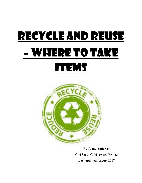

By Janae Anderson Girl Scout Gold Award Project Last updated August 2017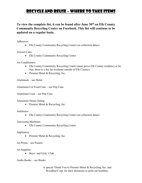To view the complete list, it can be found after June 30<sup>th</sup> on Elk County Community Recycling Center on Facebook. This list will continue to be updated on a regular basis.

Adhesives

Elk County Community Recycling Center (on collection dates)

Aerosol Cans

• Elk County Community Recycling Center

Air Conditioners

- Elk County Community Recycling Center (must prove Elk County residency to be free, there is a fee for residents outside of Elk County)
- Premier Metal & Recycling, Inc.

Aluminum – see Metal

Aluminum Cat Food Cans – see Pop Cans

Aluminum Cans – see Pop Cans

Aluminum House Siding

• Premier Metal & Recycling, Inc.

Antifreeze

Elk County Community Recycling Center (on collection dates)

Answering Machines

• Elk County Community Recycling Center

Appliances

• Premier Metal & Recycling, Inc.

Art Prints – see Posters

Art Supplies

• Boys' and Girls' Club

Audio Books – see Books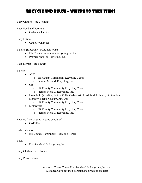Baby Clothes – see Clothing

Baby Food and Formula

• Catholic Charities

Baby Lotion

• Catholic Charities

Ballasts (Electronic, PCB, non-PCB)

- Elk County Community Recycling Center
- Premier Metal & Recycling, Inc.

Bath Towels – see Towels

**Batteries** 

- ATV
	- o Elk County Community Recycling Center
	- o Premier Metal & Recycling, Inc.
- Car
	- o Elk County Community Recycling Center
	- o Premier Metal & Recycling, Inc.
- Household (Alkaline, Button Cells, Carbon Air, Lead Acid, Lithium, Lithium Ion, Mercury, Nickel Cadium, Zinc Air
	- o Elk County Community Recycling Center
- Motorcycle
	- o Elk County Community Recycling Center
	- o Premier Metal & Recycling, Inc.

Bedding (new or used in good condition)

CAPSEA

Bi-Metal Cans

• Elk County Community Recycling Center

Bikes

• Premier Metal & Recycling, Inc.

Baby Clothes – see Clothes

Baby Powder (New)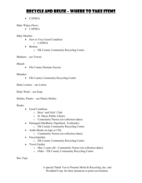CAPSEA

Baby Wipes (New)

CAPSEA

Baby Monitor

- New or Very Good Condition
	- o CAPSEA
- Broken
	- o Elk County Community Recycling Center

Blankets – see Towels

Bleach

• Elk County Humane Society

Blenders

• Elk County Community Recycling Center

Body Lotions – see Lotion

Body Wash – see Soap

Bottles, Plastic – see Plastic Bottles

#### Books

- Good Condition
	- o Boys' and Girls' Club
	- o St. Marys Public Library
	- o Community Nurses (on collection dates)
- Damaged (Hardback, Paperback, Textbooks)
	- o Elk County Community Recycling Center
- Audio Books on tape or CDs
	- o Community Nurses (on collection dates)
- Encyclopedias
	- o Elk County Community Recycling Center
- Travel Guides
	- o Max 2 years old Community Nurses (on collection dates)
	- o Older Elk County Community Recycling Center

Box Tops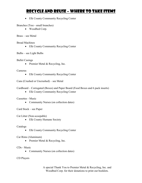Elk County Community Recycling Center

Branches (Tree - small branches)

Woodbed Corp.

Brass – see Metal

Bread Machines

• Elk County Community Recycling Center

Bulbs – see Light Bulbs

Bullet Casings

• Premier Metal & Recycling, Inc.

#### Cameras

Elk County Community Recycling Center

Cans (Crushed or Uncrushed) – see Metal

Cardboard – Corrugated (Boxes) and Paper Board (Food Boxes and 6 pack inserts)

• Elk County Community Recycling Center

Cassettes - Music

• Community Nurses (on collection dates)

Card Stock – see Paper

Cat Litter (Non-scoopable)

• Elk County Humane Society

Catalogs

Elk County Community Recycling Center

Car Rims (Aluminum)

• Premier Metal & Recycling, Inc.

CDs - Music

• Community Nurses (on collection dates)

#### CD Players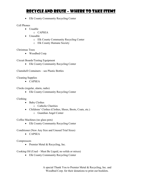• Elk County Community Recycling Center

#### Cell Phones

- $\bullet$  Usuable
	- o CAPSEA
- Unusable
	- o Elk County Community Recycling Center
	- o Elk County Humane Society

#### Christmas Trees

Woodbed Corp.

Circuit Boards/Testing Equipment

• Elk County Community Recycling Center

Clamshell Containers – see Plastic Bottles

Cleaning Supplies

CAPSEA

Clocks (regular, alarm, radio)

• Elk County Community Recycling Center

#### Clothing

- Baby Clothes
	- o Catholic Charities
- Childrens' Clothes (Clothes, Shoes, Boots, Coats, etc.)
	- o Guardian Angel Center

Coffee Machines (no glass pots)

Elk County Community Recycling Center

Conditioner (New Any Size and Unused Trial Sizes)

 $\bullet$  CAPSEA

Compressors

• Premier Metal & Recycling, Inc.

Cooking Oil (Used – Must Be Liquid, no solids or mixes)

Elk County Community Recycling Center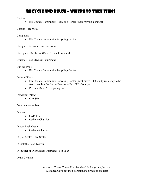Copiers

Elk County Community Recycling Center (there may be a charge)

Copper – see Metal

**Computers** 

• Elk County Community Recycling Center

Computer Software – see Software

Corrugated Cardboard (Boxes) – see Cardboard

Crutches – see Medical Equipment

Curling Irons

• Elk County Community Recycling Center

#### Dehumidifiers

- Elk County Community Recycling Center (must prove Elk County residency to be free, there is a fee for residents outside of Elk County)
- Premier Metal & Recycling, Inc.

#### Deoderant (New)

CAPSEA

Detergent – see Soap

Diapers

- CAPSEA
- Catholic Charities

#### Diaper Rash Cream

• Catholic Charities

Digital Scales – see Scales

Dishcloths – see Towels

Dishwater or Dishwasher Detergent – see Soap

Drain Cleaners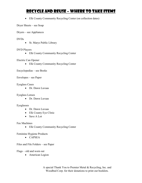Elk County Community Recycling Center (on collection dates)

Dryer Sheets – see Soap

Dryers – see Appliances

#### DVDs

• St. Marys Public Library

#### DVD Players

• Elk County Community Recycling Center

Electric Can Opener

• Elk County Community Recycling Center

Encyclopedias – see Books

Envelopes – see Paper

#### Eyeglass Cases

Dr. Dawn Luvaas

#### Eyeglass Lenses

Dr. Dawn Luvaas

#### Eyeglasses

- Dr. Dawn Luvaas
- Elk County Eye Clinic
- Save A Lot

Fax Machines

• Elk County Community Recycling Center

Feminine Hygiene Products

CAPSEA

Files and File Folders – see Paper

#### Flags – old and worn out

• American Legion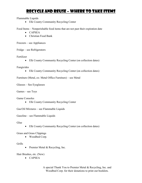Flammable Liquids

• Elk County Community Recycling Center

Food Items – Nonperishable food items that are not past their expiration date

- CAPSEA
- Christian Food Bank

Freezers – see Appliances

Fridge – see Refrigerators

Fertilizer

Elk County Community Recycling Center (on collection dates)

Fungicides

Elk County Community Recycling Center (on collection dates)

Furniture (Metal, ex: Metal Office Furniture) – see Metal

Glasses – See Eyeglasses

Games – see Toys

Game Consoles

• Elk County Community Recycling Center

Gas/Oil Mixtures – see Flammable Liquids

Gasoline – see Flammable Liquids

Glue

Elk County Community Recycling Center (on collection dates)

Grass and Grass Clippings

Woodbed Corp.

Grills

• Premier Metal & Recycling, Inc.

Hair Brushes, etc. (New)

CAPSEA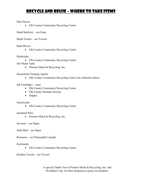#### Hair Dryers

• Elk County Community Recycling Center

Hand Sanitizer – see Soap

Hand Towels – see Towels

Hard Drives

• Elk County Community Recycling Center

#### **Herbicides**

Elk County Community Recycling Center

Hot Water Tank

• Premier Metal & Recycling, Inc.

#### Household Cleaning Agents

Elk County Community Recycling Center (on collection dates)

Ink Cartridges – used

- Elk County Community Recycling Center
- Elk County Humane Society
- Staples

#### **Insecticides**

• Elk County Community Recycling Center

#### Insulated Wire

• Premier Metal & Recycling, Inc.

Invoices – see Paper

Junk Mail – see Paper

Kerosene – see Flammable Liquids

#### Keyboards

• Elk County Community Recycling Center

Kitchen Towels – see Towels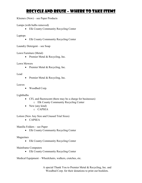Kleenex (New) – see Paper Products

Lamps (with bulbs removed)

• Elk County Community Recycling Center

Laptops

• Elk County Community Recycling Center

Laundry Detergent – see Soap

Lawn Furniture (Metal)

• Premier Metal & Recycling, Inc.

Lawn Mowers

• Premier Metal & Recycling, Inc.

Lead

• Premier Metal & Recycling, Inc.

Leaves

Woodbed Corp.

Lightbulbs

- CFL and fluorescent (there may be a charge for businesses) o Elk County Community Recycling Center
- $\bullet$  New (any kind)
	- o CAPSEA

Lotion (New Any Size and Unused Trial Sizes)

CAPSEA

Manilla Folders – see Paper

• Elk County Community Recycling Center

Magazines

• Elk County Community Recycling Center

Mainframe Computers

• Elk County Community Recycling Center

Medical Equipment – Wheelchairs, walkers, crutches, etc.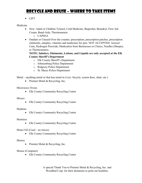LIFT

#### Medicine

- New: Adult or Children Tylenol, Cold Medicine, Ibuprofen, Benadryl, First Aid Cream, Band-Aids, Thermometers
	- o CAPSEA
- Outdate or Unused Over the counter, prescription, prescription patches, prescription ointments, samples, vitamins and medicines for pets. NOT ACCEPTED: Aerosol Cans, Hydrogen Peroxide, Medication from Businesses or Clinics, Needles (Sharps), or Thermometers.

#### NOTE: Inhalers, Ointments, Lotions, and Liquids are only accepted at the Elk County Sheriff's Department

- o Elk County Sheriff's Department
- o Johnsonburg Police Department
- o Ridgway Police Department
- o St. Marys Police Department

Metal – anything metal or that has metal in it (ex: bicycle, screen door, chair, etc.)

• Premier Metal & Recycling, Inc.

#### Microwave Ovens

• Elk County Community Recycling Center

#### Mixers

• Elk County Community Recycling Center

#### Modems

• Elk County Community Recycling Center

#### Monitors

• Elk County Community Recycling Center

Motor Oil (Used – no mixes)

• Elk County Community Recycling Center

#### **Motors**

• Premier Metal & Recycling, Inc.

#### Mouse (Computer)

• Elk County Community Recycling Center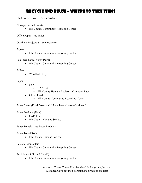Napkins (New) – see Paper Products

Newspapers and Inserts

Elk County Community Recycling Center

Office Paper – see Paper

Overhead Projectors – see Projector

#### Pagers

• Elk County Community Recycling Center

Paint (Oil based, Spray Paint)

• Elk County Community Recycling Center

Pallets

Woodbed Corp.

#### Paper

- New
	- o CAPSEA
	- o Elk County Humane Society Computer Paper
- Old or Used
	- o Elk County Community Recycling Center

Paper Board (Food Boxes and 6 Pack Inserts) – see Cardboard

Paper Products (New)

- CAPSEA
- Elk County Humane Society

Paper Towels – see Paper Products

Paper Towel Rolls

• Elk County Humane Society

Personal Computers

• Elk County Community Recycling Center

Pesticides (Solid and Liquid)

• Elk County Community Recycling Center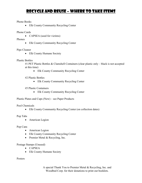#### Phone Books

• Elk County Community Recycling Center

#### Phone Cards

• CAPSEA (used for victims)

Phones

• Elk County Community Recycling Center

#### Pipe Cleaner

• Elk County Humane Society

#### Plastic Bottles

#1 PET Plastic Bottles & Clamshell Containers (clear plastic only – black is not accepted at this time)

• Elk County Community Recycling Center

#2 Plastic Bottles

Elk County Community Recycling Center

#5 Plastic Containers

Elk County Community Recycling Center

Plastic Plates and Cups (New) – see Paper Products

Pool Chemicals

Elk County Community Recycling Center (on collection dates)

#### Pop Tabs

American Legion

Pop Cans

- American Legion
- Elk County Community Recycling Center
- Premier Metal & Recycling, Inc.

Postage Stamps (Unused)

- CAPSEA
- Elk County Humane Society

Posters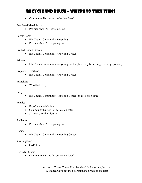• Community Nurses (on collection dates)

#### Powdered Metal Scrap

• Premier Metal & Recycling, Inc.

#### Power Cords

- Elk County Community Recycling
- Premier Metal & Recycling, Inc.

#### Printed Circuit Boards

Elk County Community Recycling Center

#### **Printers**

Elk County Community Recycling Center (there may be a charge for large printers)

#### Projector (Overhead)

• Elk County Community Recycling Center

#### Pumpkins

Woodbed Corp.

#### Putty

Elk County Community Recycling Center (on collection dates)

#### Puzzles

- Boys' and Girls' Club
- Community Nurses (on collection dates)
- St. Marys Public Library

#### Radiators

• Premier Metal & Recycling, Inc.

#### Radios

• Elk County Community Recycling Center

#### Razors (New)

CAPSEA

#### Records - Music

• Community Nurses (on collection dates)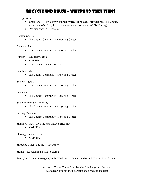Refrigerators

- Small ones Elk County Community Recycling Center (must prove Elk County residency to be free, there is a fee for residents outside of Elk County)
- Premier Metal & Recycling

Remote Controls

• Elk County Community Recycling Center

Rodenticides

• Elk County Community Recycling Center

Rubber Gloves (Disposable)

- CAPSEA
- Elk County Humane Society

Satellite Dishes

• Elk County Community Recycling Center

Scales (Digital)

• Elk County Community Recycling Center

**Scanners** 

• Elk County Community Recycling Center

Sealers (Roof and Driveway)

• Elk County Community Recycling Center

Sewing Machines

• Elk County Community Recycling Center

Shampoo (New Any Size and Unused Trial Sizes)

CAPSEA

Shaving Cream (New)

• CAPSEA

Shredded Paper (Bagged) – see Paper

Siding – see Aluminum House Siding

Soap (Bar, Liquid, Detergent, Body Wash, etc. - New Any Size and Unused Trial Sizes)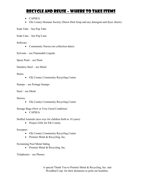- CAPSEA
- Elk County Humane Society (Dawn Dish Soap and any detergent and dryer sheets)

Soda Tabs – See Pop Tabs

Soda Cans – See Pop Cans

Software

• Community Nurses (on collection dates)

Solvents – see Flammable Liquids

Spray Paint – see Paint

Stainless Steel – see Metal

Stains

• Elk County Community Recycling Center

Stamps – see Postage Stamps

Steel – see Metal

Stereos

• Elk County Community Recycling Center

Storage Bags (New or Very Good Condition)

• CAPSEA

Stuffed Animals (new toys for children birth to 10 years)

• Project Gifts for Elk County

Sweepers

- Elk County Community Recycling Center
- Premier Metal & Recycling, Inc.

Swimming Pool Metal Siding

• Premier Metal & Recycling, Inc.

Telephones – see Phones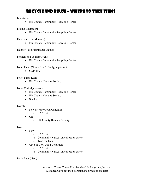Televisions

Elk County Community Recycling Center

Testing Equipment

• Elk County Community Recycling Center

Thermometers (Mercury)

Elk County Community Recycling Center

Thinner – see Flammable Liquids

Toasters and Toaster Ovens

• Elk County Community Recycling Center

Toilet Paper (New – SCOTT only, septic safe)

CAPSEA

Toilet Paper Rolls

• Elk County Humane Society

Toner Cartridges – used

- Elk County Community Recycling Center
- Elk County Humane Society
- Staples

Towels

- New or Very Good Condition
	- o CAPSEA
- Old
	- o Elk County Humane Society

Toys

- New
	- o CAPSEA
	- o Community Nurses (on collection dates)
	- o Toys for Tots
- Used in Very Good Condition
	- o CAPSEA
	- o Community Nurses (on collection dates)

Trash Bags (New)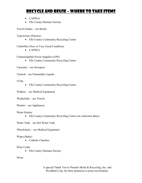- CAPSEA
- Elk County Humane Society

Travel Guides – see Books

Typewriters (Electric)

• Elk County Community Recycling Center

Umbrellas (New or Very Good Condition)

CAPSEA

Uninterruptible Power Supplies (UPS)

Elk County Community Recycling Center

Vacuums – see Sweepers

Varnish – see Flammable Liquids

#### VCRs

• Elk County Community Recycling Center

Walkers – see Medical Equipment

Washcloths – see Towels

Washer – see Appliances

Water Sealers

Elk County Community Recycling Center (on collection dates)

Water Tank – see Hot Water Tank

Wheelchairs – see Medical Equipment

#### Wipes (Baby)

• Catholic Charities

#### Wine Corks

• Elk County Humane Society

Wires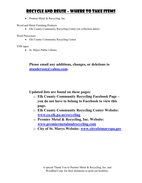• Premier Metal & Recycling, Inc.

Wood and Metal Finishing Products

Elk County Community Recycling Center (on collection dates)

Word Processors

• Elk County Community Recycling Center

VHS tapes

• St. Marys Public Library

### Please email any additions, changes, or deletions to atanderson@yahoo.com.

Updated lists are found on these pages:

- o Elk County Community Recycling Facebook Page you do not have to belong to Facebook to view this page.
- o Elk County Community Recycling Center Website: www.co.elk.pa.us/recycling
- o Premier Metal & Recycling, Inc. Website: www.premiermetalandrecycling.com
- o City of St. Marys Website: www.cityofstmaryspa.gov

A special Thank You to Premier Metal & Recycling, Inc. and Woodbed Corp. for their donations to print out booklets.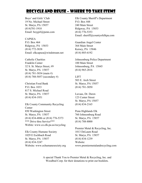Boys' and Girls' Club 19 No. Michael Street St. Marys, PA 15857 (814)781-1910 Email: boygirl@penn.com

CAPSEA P.O. Box 464 Ridgway, PA 15853 (814) 772-3838 Email: elkcapsea@windstream.net

Catholic Charities Franklin Center 32 S. St. Marys Street, #9 St. Marys, PA 15857 (814) 781-3034 (main #) (814) 788-5057 (secondary #)

Christian Food Bank P.O. Box 1033 817 S. Michael Road St. Marys, PA 15857 (814) 834-1951

Elk County Community Recycling Center 850 Washington Street St. Marys, PA 15857 (814) 834-4886 or (814) 776-5373 \*\*\* Drive thru Service\*\*\* Webite: www.co.elk.pa.us/recycling

Elk County Humane Society 1029 E Eschbach Road St. Marys, PA 15857 (814) 834-3247 Website: www.echumanesociety.org

Elk County Sheriff's Department P.O. Box 448 240 Main Street Ridgway, PA 15853 (814) 776-5353 Email: sheriff@countyofelkpa.com

Guardian Angel Center 364 Main Street Kersey, PA 15846 (814) 885-6192

Johnsonburg Police Department 100 Main Street Johnsonburg, PA 15845 (814) 965-2816

LIFT 503 E. Arch Street St. Marys, PA 15857 (814) 781-3050

Luvaas, Dr. Dawn 123 Center Street St. Marys, PA 15857 (814) 834-2165

Penn Highlands Elk 760 Johnsonburg Road St. Marys, PA 15857 (814) 788-8000

Premier Metal & Recycling, Inc. 1013 DeLaum Road St. Marys, PA 15857 (814) 834-1239 Website: www.premiermetalandrecycling.com